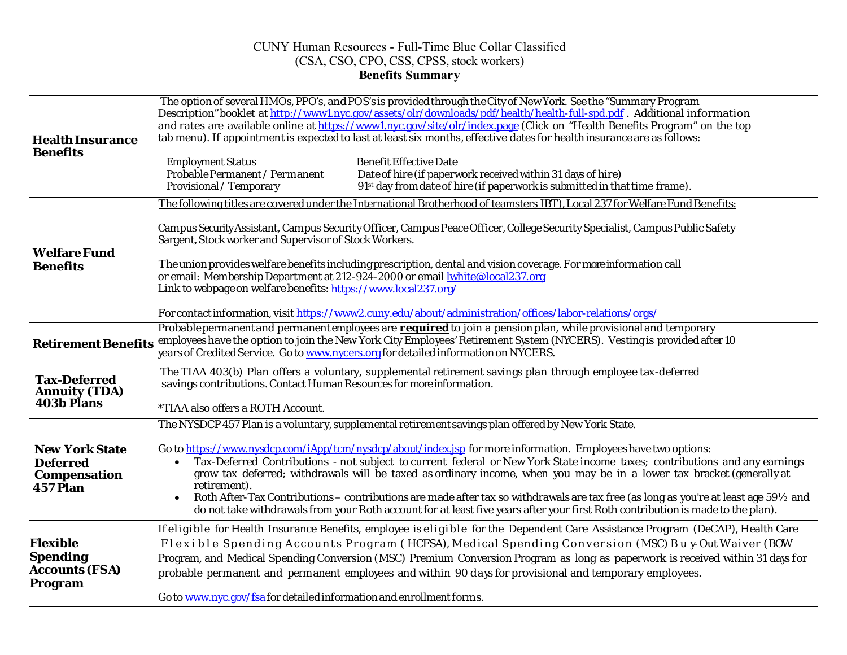## CUNY Human Resources - Full-Time Blue Collar Classified (CSA, CSO, CPO, CSS, CPSS, stock workers) **Benefits Summary**

| <b>Health Insurance</b>                                                            | The option of several HMOs, PPO's, and POS's is provided through the City of New York. See the "Summary Program<br>Description" booklet at http://www1.nyc.gov/assets/olr/downloads/pdf/health/health-full-spd.pdf. Additional information<br>and rates are available online at https://www1.nyc.gov/site/olr/index.page (Click on "Health Benefits Program" on the top<br>tab menu). If appointment is expected to last at least six months, effective dates for health insurance are as follows: |  |  |  |
|------------------------------------------------------------------------------------|----------------------------------------------------------------------------------------------------------------------------------------------------------------------------------------------------------------------------------------------------------------------------------------------------------------------------------------------------------------------------------------------------------------------------------------------------------------------------------------------------|--|--|--|
| <b>Benefits</b>                                                                    | <b>Employment Status</b><br><b>Benefit Effective Date</b><br>Probable Permanent / Permanent<br>Date of hire (if paperwork received within 31 days of hire)<br>91 <sup>st</sup> day from date of hire (if paperwork is submitted in that time frame).<br>Provisional / Temporary                                                                                                                                                                                                                    |  |  |  |
|                                                                                    | The following titles are covered under the International Brotherhood of teamsters IBT), Local 237 for Welfare Fund Benefits:                                                                                                                                                                                                                                                                                                                                                                       |  |  |  |
| <b>Welfare Fund</b>                                                                | Campus Security Assistant, Campus Security Officer, Campus Peace Officer, College Security Specialist, Campus Public Safety<br>Sargent, Stock worker and Supervisor of Stock Workers.                                                                                                                                                                                                                                                                                                              |  |  |  |
| <b>Benefits</b>                                                                    | The union provides welfare benefits including prescription, dental and vision coverage. For more information call<br>or email: Membership Department at 212-924-2000 or email <b>white@local237.org</b><br>Link to webpage on welfare benefits: https://www.local237.org/                                                                                                                                                                                                                          |  |  |  |
|                                                                                    | For contact information, visit https://www2.cuny.edu/about/administration/offices/labor-relations/orgs/                                                                                                                                                                                                                                                                                                                                                                                            |  |  |  |
| <b>Retirement Benefits</b>                                                         | Probable permanent and permanent employees are required to join a pension plan, while provisional and temporary<br>employees have the option to join the New York City Employees' Retirement System (NYCERS). Vesting is provided after 10<br>years of Credited Service. Go to www.nycers.org for detailed information on NYCERS.                                                                                                                                                                  |  |  |  |
| <b>Tax-Deferred</b><br><b>Annuity (TDA)</b><br>403b Plans                          | The TIAA 403(b) Plan offers a voluntary, supplemental retirement savings plan through employee tax-deferred<br>savings contributions. Contact Human Resources for more information.                                                                                                                                                                                                                                                                                                                |  |  |  |
|                                                                                    | *TIAA also offers a ROTH Account.                                                                                                                                                                                                                                                                                                                                                                                                                                                                  |  |  |  |
|                                                                                    | The NYSDCP 457 Plan is a voluntary, supplemental retirement savings plan offered by New York State.                                                                                                                                                                                                                                                                                                                                                                                                |  |  |  |
| <b>New York State</b><br><b>Deferred</b><br><b>Compensation</b><br><b>457 Plan</b> | Go to https://www.nysdcp.com/iApp/tcm/nysdcp/about/index.jsp for more information. Employees have two options:<br>Tax-Deferred Contributions - not subject to current federal or New York State income taxes; contributions and any earnings<br>$\bullet$<br>grow tax deferred; withdrawals will be taxed as ordinary income, when you may be in a lower tax bracket (generally at<br>retirement).                                                                                                 |  |  |  |
|                                                                                    | Roth After-Tax Contributions – contributions are made after tax so withdrawals are tax free (as long as you're at least age 591/2 and<br>do not take withdrawals from your Roth account for at least five years after your first Roth contribution is made to the plan).                                                                                                                                                                                                                           |  |  |  |
|                                                                                    | If eligible for Health Insurance Benefits, employee is eligible for the Dependent Care Assistance Program (DeCAP), Health Care                                                                                                                                                                                                                                                                                                                                                                     |  |  |  |
| <b>Flexible</b>                                                                    | Flexible Spending Accounts Program (HCFSA), Medical Spending Conversion (MSC) Buy-Out Waiver (BOW                                                                                                                                                                                                                                                                                                                                                                                                  |  |  |  |
| <b>Spending</b><br><b>Accounts (FSA)</b><br>Program                                | Program, and Medical Spending Conversion (MSC) Premium Conversion Program as long as paperwork is received within 31 days for<br>probable permanent and permanent employees and within 90 days for provisional and temporary employees.                                                                                                                                                                                                                                                            |  |  |  |
|                                                                                    | Go to www.nyc.gov/fsa for detailed information and enrollment forms.                                                                                                                                                                                                                                                                                                                                                                                                                               |  |  |  |